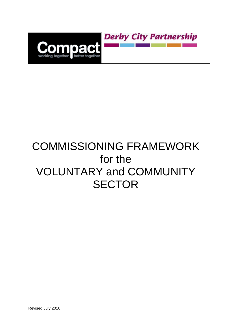

# COMMISSIONING FRAMEWORK for the VOLUNTARY and COMMUNITY **SECTOR**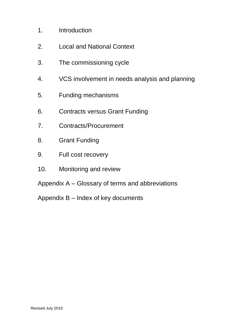- 1. Introduction
- 2. Local and National Context
- 3. The commissioning cycle
- 4. VCS involvement in needs analysis and planning
- 5. Funding mechanisms
- 6. Contracts versus Grant Funding
- 7. Contracts/Procurement
- 8. Grant Funding
- 9. Full cost recovery
- 10. Monitoring and review
- Appendix A Glossary of terms and abbreviations
- Appendix B Index of key documents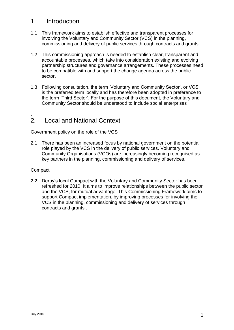# 1. Introduction

- 1.1 This framework aims to establish effective and transparent processes for involving the Voluntary and Community Sector (VCS) in the planning, commissioning and delivery of public services through contracts and grants.
- 1.2 This commissioning approach is needed to establish clear, transparent and accountable processes, which take into consideration existing and evolving partnership structures and governance arrangements. These processes need to be compatible with and support the change agenda across the public sector.
- 1.3 Following consultation, the term 'Voluntary and Community Sector', or VCS, is the preferred term locally and has therefore been adopted in preference to the term 'Third Sector'. For the purpose of this document, the Voluntary and Community Sector should be understood to include social enterprises

## . 2. Local and National Context

Government policy on the role of the VCS

2.1 There has been an increased focus by national government on the potential role played by the VCS in the delivery of public services. Voluntary and Community Organisations (VCOs) are increasingly becoming recognised as key partners in the planning, commissioning and delivery of services.

## **Compact**

2.2 Derby's local Compact with the Voluntary and Community Sector has been refreshed for 2010. It aims to improve relationships between the public sector and the VCS, for mutual advantage. This Commissioning Framework aims to support Compact implementation, by improving processes for involving the VCS in the planning, commissioning and delivery of services through contracts and grants..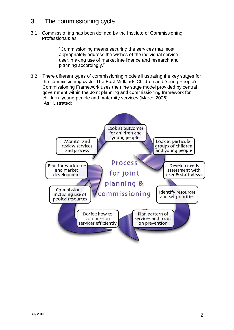# 3. The commissioning cycle

3.1 Commissioning has been defined by the Institute of Commissioning Professionals as:

> "Commissioning means securing the services that most appropriately address the wishes of the individual service user, making use of market intelligence and research and planning accordingly."

3.2 There different types of commissioning models illustrating the key stages for the commissioning cycle. The East Midlands Children and Young People's Commissioning Framework uses the nine stage model provided by central government within the Joint planning and commissioning framework for children, young people and maternity services (March 2006). As illustrated:

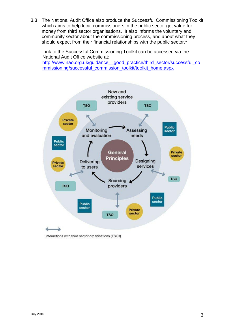3.3 The National Audit Office also produce the Successful Commissioning Toolkit which aims to help local commissioners in the public sector get value for money from third sector organisations. It also informs the voluntary and community sector about the commissioning process, and about what they should expect from their financial relationships with the public sector."

Link to the Successful Commissioning Toolkit can be accessed via the National Audit Office website at:

[http://www.nao.org.uk/guidance\\_\\_good\\_practice/third\\_sector/successful\\_co](http://www.nao.org.uk/guidance__good_practice/third_sector/successful_commissioning/successful_commission_toolkit/toolkit_home.aspx) [mmissioning/successful\\_commission\\_toolkit/toolkit\\_home.aspx](http://www.nao.org.uk/guidance__good_practice/third_sector/successful_commissioning/successful_commission_toolkit/toolkit_home.aspx)



Interactions with third sector organisations (TSOs)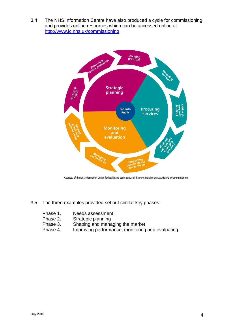3.4 The NHS Information Centre have also produced a cycle for commissioning and provides online resources which can be accessed online at <http://www.ic.nhs.uk/commissioning>



Courtesy of The NHS Information Centre for health and social care. Full diagram available at: www.ic.nhs.uk/commissioning

- 3.5 The three examples provided set out similar key phases:
	- Phase 1. Needs assessment<br>Phase 2. Strategic planning
	- Strategic planning
	- Phase 3. Shaping and managing the market
	- Phase 4. Improving performance, monitoring and evaluating.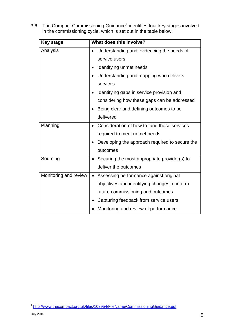3.6 The Compact Commissioning Guidance<sup>1</sup> identifies four key stages involved in the commissioning cycle, which is set out in the table below.

| <b>Key stage</b>      | What does this involve?                             |
|-----------------------|-----------------------------------------------------|
| Analysis              | Understanding and evidencing the needs of           |
|                       | service users                                       |
|                       | Identifying unmet needs                             |
|                       | Understanding and mapping who delivers              |
|                       | services                                            |
|                       | Identifying gaps in service provision and           |
|                       | considering how these gaps can be addressed         |
|                       | Being clear and defining outcomes to be             |
|                       | delivered                                           |
| Planning              | Consideration of how to fund those services         |
|                       | required to meet unmet needs                        |
|                       | Developing the approach required to secure the      |
|                       | outcomes                                            |
| Sourcing              | Securing the most appropriate provider(s) to        |
|                       | deliver the outcomes                                |
| Monitoring and review | Assessing performance against original<br>$\bullet$ |
|                       | objectives and identifying changes to inform        |
|                       | future commissioning and outcomes                   |
|                       | Capturing feedback from service users               |
|                       | Monitoring and review of performance                |

 1 <http://www.thecompact.org.uk/files/103954/FileName/CommissioningGuidance.pdf>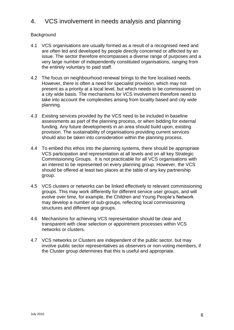# 4. VCS involvement in needs analysis and planning

#### **Background**

- 4.1 VCS organisations are usually formed as a result of a recognised need and are often led and developed by people directly concerned or affected by an issue. The sector therefore encompasses a diverse range of purposes and a very large number of independently constituted organisations, ranging from the entirely voluntary to paid staff.
- 4.2 The focus on neighbourhood renewal brings to the fore localised needs. However, there is often a need for specialist provision, which may not present as a priority at a local level, but which needs to be commissioned on a city wide basis. The mechanisms for VCS involvement therefore need to take into account the complexities arising from locality based and city wide planning.
- 4.3 Existing services provided by the VCS need to be included in baseline assessments as part of the planning process, or when bidding for external funding. Any future developments in an area should build upon, existing provision. The sustainability of organisations providing current services should also be taken into consideration within the planning process.
- 4.4 To embed this ethos into the planning systems, there should be appropriate VCS participation and representation at all levels and on all key Strategic Commissioning Groups. It is not practicable for all VCS organisations with an interest to be represented on every planning group. However, the VCS should be offered at least two places at the table of any key partnership group.
- 4.5 VCS clusters or networks can be linked effectively to relevant commissioning groups. This may work differently for different service user groups, and will evolve over time, for example, the Children and Young People's Network may develop a number of sub-groups, reflecting local commissioning structures and different age groups.
- 4.6 Mechanisms for achieving VCS representation should be clear and transparent with clear selection or appointment processes within VCS networks or clusters.
- 4.7 VCS networks or Clusters are independent of the public sector, but may involve public sector representatives as observers or non-voting members, if the Cluster group determines that this is useful and appropriate.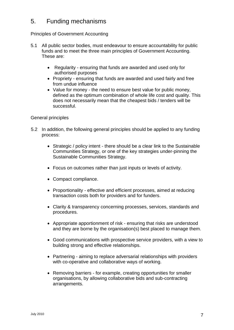# 5. Funding mechanisms

#### Principles of Government Accounting

- 5.1 All public sector bodies, must endeavour to ensure accountability for public funds and to meet the three main principles of Government Accounting. These are:
	- Regularity ensuring that funds are awarded and used only for authorised purposes
	- Propriety ensuring that funds are awarded and used fairly and free from undue influence
	- Value for money the need to ensure best value for public money, defined as the optimum combination of whole life cost and quality. This does not necessarily mean that the cheapest bids / tenders will be successful.

#### General principles

- 5.2 In addition, the following general principles should be applied to any funding process:
	- Strategic / policy intent there should be a clear link to the Sustainable Communities Strategy, or one of the key strategies under-pinning the Sustainable Communities Strategy.
	- Focus on outcomes rather than just inputs or levels of activity.
	- Compact compliance.
	- Proportionality effective and efficient processes, aimed at reducing transaction costs both for providers and for funders.
	- Clarity & transparency concerning processes, services, standards and procedures.
	- Appropriate apportionment of risk ensuring that risks are understood and they are borne by the organisation(s) best placed to manage them.
	- Good communications with prospective service providers, with a view to building strong and effective relationships.
	- Partnering aiming to replace adversarial relationships with providers with co-operative and collaborative ways of working.
	- Removing barriers for example, creating opportunities for smaller organisations, by allowing collaborative bids and sub-contracting arrangements.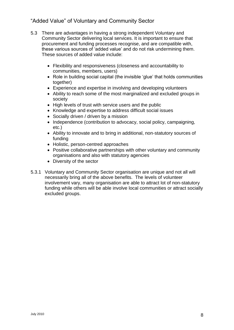## "Added Value" of Voluntary and Community Sector

- 5.3 There are advantages in having a strong independent Voluntary and Community Sector delivering local services. It is important to ensure that procurement and funding processes recognise, and are compatible with, these various sources of 'added value' and do not risk undermining them. These sources of added value include:
	- Flexibility and responsiveness (closeness and accountability to communities, members, users)
	- Role in building social capital (the invisible 'glue' that holds communities together)
	- Experience and expertise in involving and developing volunteers
	- Ability to reach some of the most marginalized and excluded groups in society
	- High levels of trust with service users and the public
	- Knowledge and expertise to address difficult social issues
	- Socially driven / driven by a mission
	- Independence (contribution to advocacy, social policy, campaigning, etc.)
	- Ability to innovate and to bring in additional, non-statutory sources of funding
	- Holistic, person-centred approaches
	- Positive collaborative partnerships with other voluntary and community organisations and also with statutory agencies
	- Diversity of the sector
- 5.3.1 Voluntary and Community Sector organisation are unique and not all will necessarily bring all of the above benefits. The levels of volunteer involvement vary, many organisation are able to attract lot of non-statutory funding while others will be able involve local communities or attract socially excluded groups.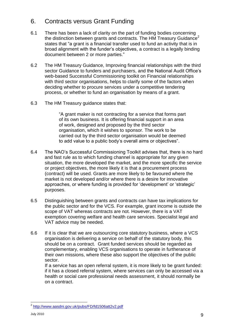# 6. Contracts versus Grant Funding

- 6.1 There has been a lack of clarity on the part of funding bodies concerning the distinction between grants and contracts. The HM Treasury Guidance<sup>2</sup> states that "a grant is a financial transfer used to fund an activity that is in broad alignment with the funder's objectives, a contract is a legally binding document between 2 or more parties."
- 6.2 The HM Treasury Guidance, Improving financial relationships with the third sector Guidance to funders and purchasers, and the National Audit Office's web-based Successful Commissioning toolkit on Financial relationships with third sector organisations, helps to clarify some of the factors when deciding whether to procure services under a competitive tendering process, or whether to fund an organisation by means of a grant.
- 6.3 The HM Treasury guidance states that:

"A grant maker is not contracting for a service that forms part of its own business. It is offering financial support in an area of work, designed and proposed by the third sector organisation, which it wishes to sponsor. The work to be carried out by the third sector organisation would be deemed to add value to a public body's overall aims or objectives".

- 6.4 The NAO's Successful Commissioning Toolkit advises that, there is no hard and fast rule as to which funding channel is appropriate for any given situation, the more developed the market, and the more specific the service or project objectives, the more likely it is that a procurement process (contract) will be used. Grants are more likely to be favoured where the market is not developed and/or where there is a desire for innovative approaches, or where funding is provided for 'development' or 'strategic' purposes.
- 6.5 Distinguishing between grants and contracts can have tax implications for the public sector and for the VCS. For example, grant income is outside the scope of VAT whereas contracts are not. However, there is a VAT exemption covering welfare and health care services. Specialist legal and VAT advice may be needed.
- 6.6 If it is clear that we are outsourcing core statutory business, where a VCS organisation is delivering a service on behalf of the statutory body, this should be on a contract. Grant funded services should be regarded as complementary, enabling VCS organisations to operate in furtherance of their own missions, where these also support the objectives of the public sector.

If a service has an open referral system, it is more likely to be grant funded: if it has a closed referral system, where services can only be accessed via a health or social care professional needs assessment, it should normally be on a contract.

<sup>1</sup> <sup>2</sup> <http://www.aasdni.gov.uk/pubs/FD/fd1506att2v2.pdf>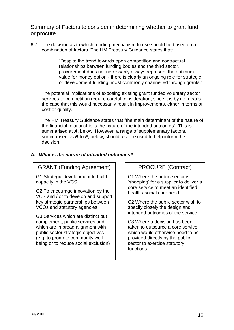Summary of Factors to consider in determining whether to grant fund or procure

6.7 The decision as to which funding mechanism to use should be based on a combination of factors. The HM Treasury Guidance states that:

> "Despite the trend towards open competition and contractual relationships between funding bodies and the third sector, procurement does not necessarily always represent the optimum value for money option - there is clearly an ongoing role for strategic or development funding, most commonly channelled through grants."

The potential implications of exposing existing grant funded voluntary sector services to competition require careful consideration, since it is by no means the case that this would necessarily result in improvements, either in terms of cost or quality.

The HM Treasury Guidance states that "the main determinant of the nature of the financial relationship is the nature of the intended outcomes". This is summarised at *A*. below. However, a range of supplementary factors, summarised as *B* to *F*, below, should also be used to help inform the decision.

## *A. What is the nature of intended outcomes?*

# GRANT (Funding Agreement)

G1 Strategic development to build capacity in the VCS

G2 To encourage innovation by the VCS and / or to develop and support key strategic partnerships between VCOs and statutory agencies

G3 Services which are distinct but complement, public services and which are in broad alignment with public sector strategic objectives (e.g. to promote community wellbeing or to reduce social exclusion)

## PROCURE (Contract)

C1 Where the public sector is 'shopping' for a supplier to deliver a core service to meet an identified health / social care need

C2 Where the public sector wish to specify closely the design and intended outcomes of the service

C3 Where a decision has been taken to outsource a core service, which would otherwise need to be provided directly by the public sector to exercise statutory functions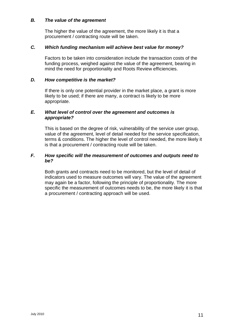#### *B. The value of the agreement*

The higher the value of the agreement, the more likely it is that a procurement / contracting route will be taken.

#### *C. Which funding mechanism will achieve best value for money?*

Factors to be taken into consideration include the transaction costs of the funding process, weighed against the value of the agreement, bearing in mind the need for proportionality and Roots Review efficiencies.

#### *D. How competitive is the market?*

If there is only one potential provider in the market place, a grant is more likely to be used; if there are many, a contract is likely to be more appropriate.

#### *E. What level of control over the agreement and outcomes is appropriate?*

This is based on the degree of risk, vulnerability of the service user group, value of the agreement, level of detail needed for the service specification, terms & conditions. The higher the level of control needed, the more likely it is that a procurement / contracting route will be taken.

#### *F. How specific will the measurement of outcomes and outputs need to be?*

Both grants and contracts need to be monitored, but the level of detail of indicators used to measure outcomes will vary. The value of the agreement may again be a factor, following the principle of proportionality. The more specific the measurement of outcomes needs to be, the more likely it is that a procurement / contracting approach will be used.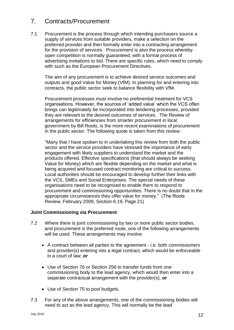# 7. Contracts/Procurement

7.1 Procurement is the process through which intending purchasers source a supply of services from suitable providers, make a selection on the preferred provider and then formally enter into a contracting arrangement for the provision of services. Procurement is also the process whereby open competition is normally guaranteed, with a formal process of advertising invitations to bid. There are specific rules, which need to comply with such as the European Procurement Directives.

The aim of any procurement is to achieve desired service outcomes and outputs and good Value for Money (VfM). In planning for and entering into contracts, the public sector seek to balance flexibility with VfM.

Procurement processes must involve no preferential treatment for VCS organisations. However, the sources of 'added value' which the VCS often brings can legitimately be incorporated into tendering processes, provided they are relevant to the desired outcomes of services. The Review of arrangements for efficiencies from smarter procurement in local government by Bill Roots, is the more recent examinations of procurement in the public sector. The following quote is taken from this review:

"Many that I have spoken to in undertaking this review from both the public sector and the service providers have stressed the importance of early engagement with likely suppliers to understand the market and the products offered. Effective specifications (that should always be seeking Value for Money) which are flexible depending on the market and what is being acquired and focused contract monitoring are critical to success. Local authorities should be encouraged to develop further their links with the VCS, SMEs and Social Enterprises. The special needs of these organisations need to be recognised to enable them to respond to procurement and commissioning opportunities. There is no doubt that in the appropriate circumstances they offer value for money." (The Roots Review, February 2009, Section 6.19, Page 21)

#### **Joint Commissioning via Procurement**

- 7.2 Where there is joint commissioning by two or more public sector bodies, and procurement is the preferred route, one of the following arrangements will be used. These arrangements may involve:
	- A contract between all parties to the agreement i.e. both commissioners and provider(s) entering into a legal contract, which would be enforceable in a court of law; *or*
	- Use of Section 76 or Section 256 to transfer funds from one commissioning body to the lead agency, which would then enter into a separate contractual arrangement with the provider(s); *or*
	- Use of Section 75 to pool budgets.
- 7.3 For any of the above arrangements, one of the commissioning bodies will need to act as the lead agency. This will normally be the lead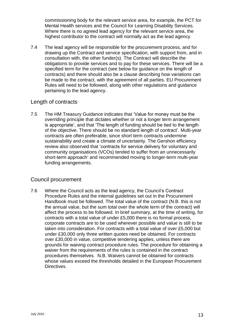commissioning body for the relevant service area, for example, the PCT for Mental Health services and the Council for Learning Disability Services. Where there is no agreed lead agency for the relevant service area, the highest contributor to the contract will normally act as the lead agency.

7.4 The lead agency will be responsible for the procurement process, and for drawing up the Contract and service specification, with support from, and in consultation with, the other funder(s). The Contract will describe the obligations to provide services and to pay for these services. There will be a specified term for the contract (see below for guidance on the length of contracts) and there should also be a clause describing how variations can be made to the contract, with the agreement of all parties. EU Procurement Rules will need to be followed, along with other regulations and guidance pertaining to the lead agency.

## Length of contracts

7.5 The HM Treasury Guidance indicates that 'Value for money must be the overriding principle that dictates whether or not a longer term arrangement is appropriate', and that 'The length of funding should be tied to the length of the objective. There should be no standard length of contract'. Multi-year contracts are often preferable, since short term contracts undermine sustainability and create a climate of uncertainty. The Gershon efficiency review also observed that 'contracts for service delivery for voluntary and community organisations (VCOs) tended to suffer from an unnecessarily short-term approach' and recommended moving to longer-term multi-year funding arrangements.

## Council procurement

7.6 Where the Council acts as the lead agency, the Council's Contract Procedure Rules and the internal guidelines set out in the Procurement Handbook must be followed. The total value of the contract (N.B. this is not the annual value, but the sum total over the whole term of the contract) will affect the process to be followed. In brief summary, at the time of writing, for contracts with a total value of under £5,000 there is no formal process, corporate contracts are to be used wherever possible and value is still to be taken into consideration. For contracts with a total value of over £5,000 but under £30,000 only three written quotes need be obtained. For contracts over £30,000 in value, competitive tendering applies, unless there are grounds for waiving contract procedure rules. The procedure for obtaining a waiver from the requirements of the rules is contained in the contract procedures themselves. N.B. Waivers cannot be obtained for contracts whose values exceed the thresholds detailed in the European Procurement **Directives**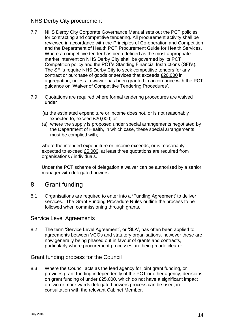## NHS Derby City procurement

- 7.7 NHS Derby City Corporate Governance Manual sets out the PCT policies for contracting and competitive tendering. All procurement activity shall be reviewed in accordance with the Principles of Co-operation and Competition and the Department of Health PCT Procurement Guide for Health Services. Where a competitive tender has been defined as the most appropriate market intervention NHS Derby City shall be governed by its PCT Competition policy and the PCT's Standing Financial Instructions (SFI's). The SFI's require NHS Derby City to seek competitive tenders for any contract or purchase of goods or services that exceeds £20,000 in aggregation, unless a wavier has been granted in accordance with the PCT guidance on 'Waiver of Competitive Tendering Procedures'.
- 7.9 Quotations are required where formal tendering procedures are waived under
	- (a) the estimated expenditure or income does not, or is not reasonably expected to, exceed £20,000; or
	- (a) where the supply is proposed under special arrangements negotiated by the Department of Health, in which case, these special arrangements must be complied with;

where the intended expenditure or income exceeds, or is reasonably expected to exceed £5,000, at least three quotations are required from organisations / individuals.

Under the PCT scheme of delegation a waiver can be authorised by a senior manager with delegated powers.

## 8. Grant funding

8.1 Organisations are required to enter into a **'**Funding Agreement' to deliver services. The Grant Funding Procedure Rules outline the process to be followed when commissioning through grants.

## Service Level Agreements

8.2 The term 'Service Level Agreement', or 'SLA', has often been applied to agreements between VCOs and statutory organisations, however these are now generally being phased out in favour of grants and contracts, particularly where procurement processes are being made clearer.

#### Grant funding process for the Council

8.3 Where the Council acts as the lead agency for joint grant funding, or provides grant funding independently of the PCT or other agency, decisions on grant funding of under £25,000, which do not have a significant impact on two or more wards delegated powers process can be used, in consultation with the relevant Cabinet Member.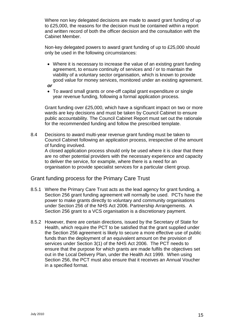Where non key delegated decisions are made to award grant funding of up to £25,000, the reasons for the decision must be contained within a report and written record of both the officer decision and the consultation with the Cabinet Member.

Non-key delegated powers to award grant funding of up to £25,000 should only be used in the following circumstances:

- Where it is necessary to increase the value of an existing grant funding agreement, to ensure continuity of services and / or to maintain the viability of a voluntary sector organisation, which is known to provide good value for money services, monitored under an existing agreement.
- *or*
- To award small grants or one-off capital grant expenditure or single year revenue funding, following a formal application process.

Grant funding over £25,000, which have a significant impact on two or more wards are key decisions and must be taken by Council Cabinet to ensure public accountability. The Council Cabinet Report must set out the rationale for the recommended funding and follow the prescribed template.

8.4 Decisions to award multi-year revenue grant funding must be taken to Council Cabinet following an application process, irrespective of the amount of funding involved. A closed application process should only be used where it is clear that there

are no other potential providers with the necessary experience and capacity to deliver the service, for example, where there is a need for an organisation to provide specialist services for a particular client group.

## Grant funding process for the Primary Care Trust

- 8.5.1 Where the Primary Care Trust acts as the lead agency for grant funding, a Section 256 grant funding agreement will normally be used. PCTs have the power to make grants directly to voluntary and community organisations under Section 256 of the NHS Act 2006. Partnership Arrangements. A Section 256 grant to a VCS organisation is a discretionary payment.
- 8.5.2 However, there are certain directions, issued by the Secretary of State for Health, which require the PCT to be satisfied that the grant supplied under the Section 256 agreement is likely to secure a more effective use of public funds than the deployment of an equivalent amount on the provision of services under Section 3(1) of the NHS Act 2006. The PCT needs to ensure that the purpose for which grants are made fulfils the objectives set out in the Local Delivery Plan, under the Health Act 1999. When using Section 256, the PCT must also ensure that it receives an Annual Voucher in a specified format.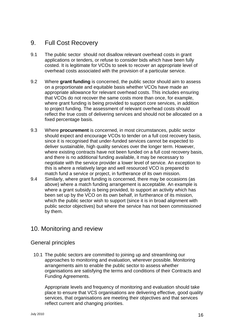# 9. Full Cost Recovery

- 9.1 The public sector should not disallow relevant overhead costs in grant applications or tenders, or refuse to consider bids which have been fully costed. It is legitimate for VCOs to seek to recover an appropriate level of overhead costs associated with the provision of a particular service.
- 9.2 Where **grant funding** is concerned, the public sector should aim to assess on a proportionate and equitable basis whether VCOs have made an appropriate allowance for relevant overhead costs. This includes ensuring that VCOs do not recover the same costs more than once, for example, where grant funding is being provided to support core services, in addition to project funding. The assessment of relevant overhead costs should reflect the true costs of delivering services and should not be allocated on a fixed percentage basis.
- 9.3 Where **procurement** is concerned, in most circumstances, public sector should expect and encourage VCOs to tender on a full cost recovery basis, since it is recognised that under-funded services cannot be expected to deliver sustainable, high quality services over the longer term. However, where existing contracts have not been funded on a full cost recovery basis, and there is no additional funding available, it may be necessary to negotiate with the service provider a lower level of service. An exception to this is where a relatively large and well resourced VCO is prepared to match fund a service or project, in furtherance of its own mission.
- 9.4 Similarly, where grant funding is concerned, there may be occasions (as above) where a match funding arrangement is acceptable. An example is where a grant subsidy is being provided, to support an activity which has been set up by the VCO on its own behalf, in furtherance of its mission, which the public sector wish to support (since it is in broad alignment with public sector objectives) but where the service has not been commissioned by them.

# 10. Monitoring and review

## General principles

10.1 The public sectors are committed to joining up and streamlining our approaches to monitoring and evaluation, wherever possible. Monitoring arrangements aim to enable the public sector to assess whether organisations are satisfying the terms and conditions of their Contracts and Funding Agreements.

Appropriate levels and frequency of monitoring and evaluation should take place to ensure that VCS organisations are delivering effective, good quality services, that organisations are meeting their objectives and that services reflect current and changing priorities.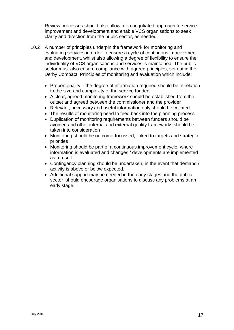Review processes should also allow for a negotiated approach to service improvement and development and enable VCS organisations to seek clarity and direction from the public sector, as needed.

- 10.2 A number of principles underpin the framework for monitoring and evaluating services in order to ensure a cycle of continuous improvement and development, whilst also allowing a degree of flexibility to ensure the individuality of VCS organisations and services is maintained. The public sector must also ensure compliance with agreed principles, set out in the Derby Compact. Principles of monitoring and evaluation which include:
	- Proportionality the degree of information required should be in relation to the size and complexity of the service funded
	- A clear, agreed monitoring framework should be established from the outset and agreed between the commissioner and the provider
	- Relevant, necessary and useful information only should be collated
	- The results of monitoring need to feed back into the planning process
	- Duplication of monitoring requirements between funders should be avoided and other internal and external quality frameworks should be taken into consideration
	- Monitoring should be outcome-focussed, linked to targets and strategic priorities
	- Monitoring should be part of a continuous improvement cycle, where information is evaluated and changes / developments are implemented as a result
	- Contingency planning should be undertaken, in the event that demand / activity is above or below expected.
	- Additional support may be needed in the early stages and the public sector should encourage organisations to discuss any problems at an early stage.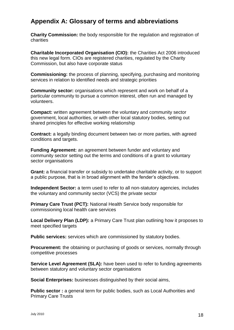# **Appendix A: Glossary of terms and abbreviations**

**Charity Commission:** the body responsible for the regulation and registration of charities

**Charitable Incorporated Organisation (CIO):** the Charities Act 2006 introduced this new legal form. CIOs are registered charities, regulated by the Charity Commission, but also have corporate status

**Commissioning:** the process of planning, specifying, purchasing and monitoring services in relation to identified needs and strategic priorities

**Community sector:** organisations which represent and work on behalf of a particular community to pursue a common interest, often run and managed by volunteers.

**Compact:** written agreement between the voluntary and community sector government, local authorities, or with other local statutory bodies, setting out shared principles for effective working relationship

**Contract:** a legally binding document between two or more parties, with agreed conditions and targets.

**Funding Agreement:** an agreement between funder and voluntary and community sector setting out the terms and conditions of a grant to voluntary sector organisations

**Grant:** a financial transfer or subsidy to undertake charitable activity, or to support a public purpose, that is in broad alignment with the fender's objectives.

**Independent Sector:** a term used to refer to all non-statutory agencies, includes the voluntary and community sector (VCS) the private sector

**Primary Care Trust (PCT):** National Health Service body responsible for commissioning local health care services

**Local Delivery Plan (LDP):** a Primary Care Trust plan outlining how it proposes to meet specified targets

**Public services:** services which are commissioned by statutory bodies.

**Procurement:** the obtaining or purchasing of goods or services, normally through competitive processes

**Service Level Agreement (SLA):** have been used to refer to funding agreements between statutory and voluntary sector organisations

**Social Enterprises:** businesses distinguished by their social aims,

**Public sector :** a general term for public bodies, such as Local Authorities and Primary Care Trusts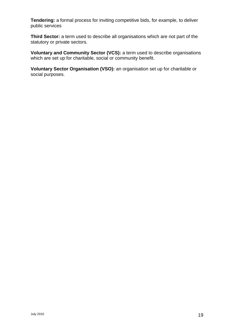**Tendering:** a formal process for inviting competitive bids, for example, to deliver public services

**Third Sector:** a term used to describe all organisations which are not part of the statutory or private sectors.

**Voluntary and Community Sector (VCS):** a term used to describe organisations which are set up for charitable, social or community benefit.

**Voluntary Sector Organisation (VSO):** an organisation set up for charitable or social purposes.